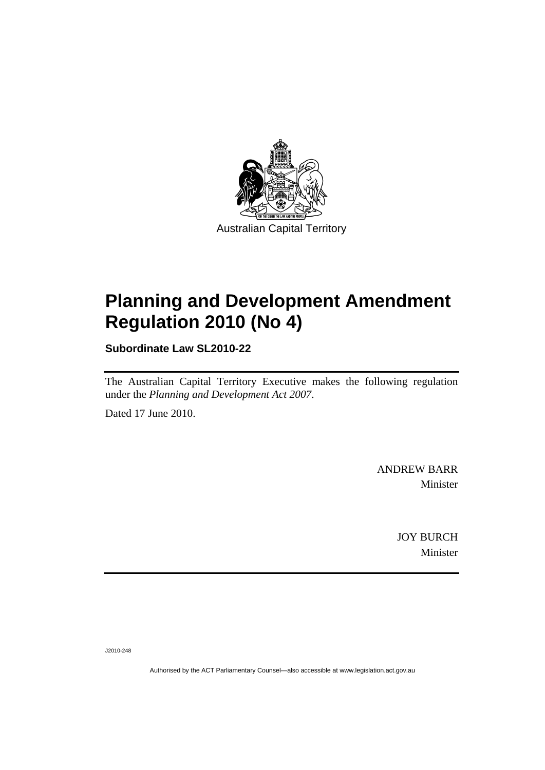

# **[Planning and Development Amendment](#page-2-0)  [Regulation 2010 \(No 4\)](#page-2-0)**

**Subordinate Law SL2010-22** 

The Australian Capital Territory Executive makes the following regulation under the *[Planning and Development Act 2007](#page-2-0)*.

Dated 17 June 2010.

ANDREW BARR Minister

> JOY BURCH Minister

J2010-248

Authorised by the ACT Parliamentary Counsel—also accessible at www.legislation.act.gov.au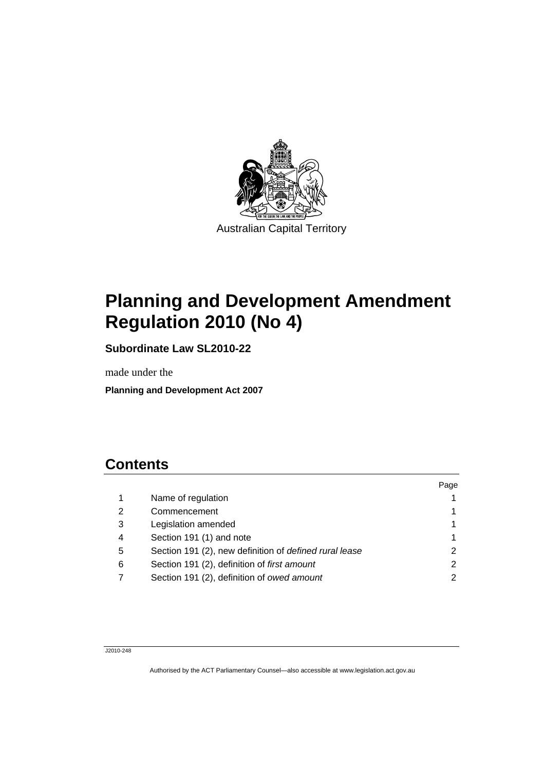<span id="page-2-0"></span>

# **Planning and Development Amendment Regulation 2010 (No 4)**

**Subordinate Law SL2010-22** 

made under the

**Planning and Development Act 2007** 

# **Contents**

|   |                                                        | Page |
|---|--------------------------------------------------------|------|
|   | Name of regulation                                     |      |
| 2 | Commencement                                           |      |
| 3 | Legislation amended                                    |      |
| 4 | Section 191 (1) and note                               |      |
| 5 | Section 191 (2), new definition of defined rural lease |      |
| 6 | Section 191 (2), definition of first amount            |      |
|   | Section 191 (2), definition of owed amount             | 2    |
|   |                                                        |      |

J2010-248

Authorised by the ACT Parliamentary Counsel—also accessible at www.legislation.act.gov.au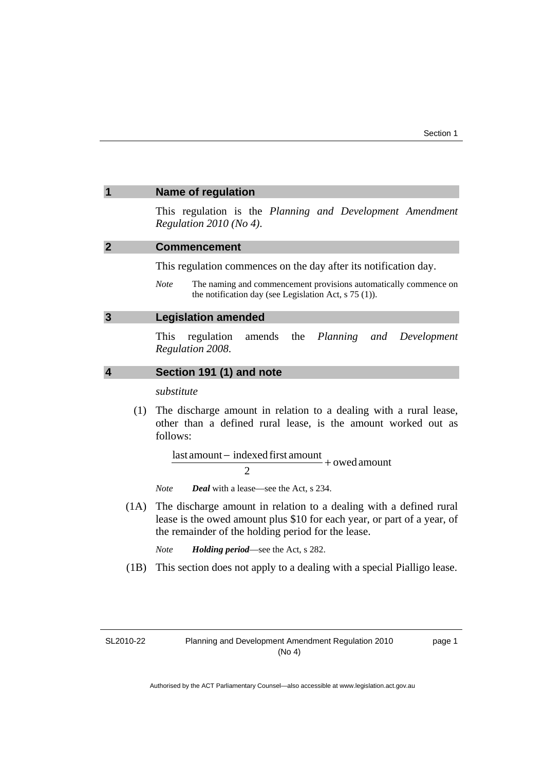#### <span id="page-4-0"></span>**1 Name of regulation**

This regulation is the *Planning and Development Amendment Regulation 2010 (No 4)*.

#### **2 Commencement**

This regulation commences on the day after its notification day.

*Note* The naming and commencement provisions automatically commence on the notification day (see Legislation Act, s 75 (1)).

#### **3 Legislation amended**

This regulation amends the *Planning and Development Regulation 2008*.

#### **4 Section 191 (1) and note**

*substitute* 

 (1) The discharge amount in relation to a dealing with a rural lease, other than a defined rural lease, is the amount worked out as follows:

> $\frac{1}{\sqrt{1-\frac{1}{n}}}$  =  $\frac{1}{\sqrt{1-\frac{1}{n}}}$  + owed amount  $\overline{2}$

*Note Deal* with a lease—see the Act, s 234.

 (1A) The discharge amount in relation to a dealing with a defined rural lease is the owed amount plus \$10 for each year, or part of a year, of the remainder of the holding period for the lease.

*Note Holding period*—see the Act, s 282.

(1B) This section does not apply to a dealing with a special Pialligo lease.

SL2010-22

page 1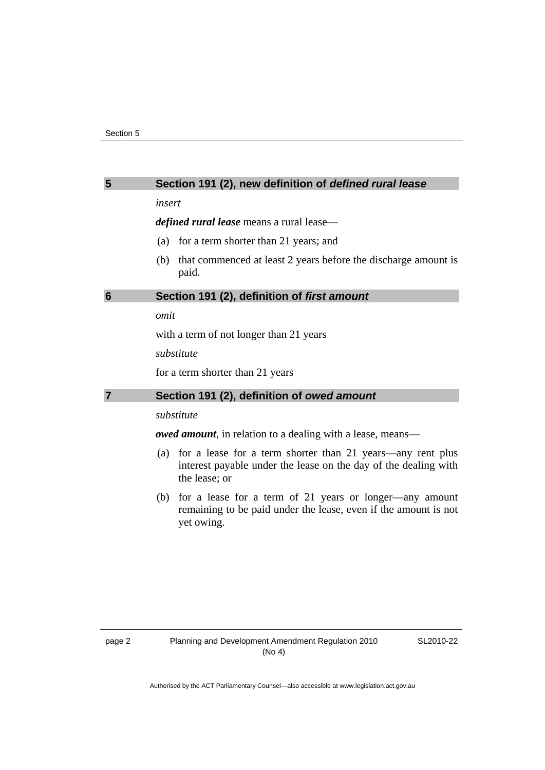### <span id="page-5-0"></span>**5 Section 191 (2), new definition of** *defined rural lease*

*insert* 

*defined rural lease* means a rural lease—

- (a) for a term shorter than 21 years; and
- (b) that commenced at least 2 years before the discharge amount is paid.

#### **6 Section 191 (2), definition of** *first amount*

*omit* 

with a term of not longer than 21 years

*substitute* 

for a term shorter than 21 years

### **7 Section 191 (2), definition of** *owed amount*

## *substitute*

*owed amount*, in relation to a dealing with a lease, means—

- (a) for a lease for a term shorter than 21 years—any rent plus interest payable under the lease on the day of the dealing with the lease; or
- (b) for a lease for a term of 21 years or longer—any amount remaining to be paid under the lease, even if the amount is not yet owing.

SL2010-22